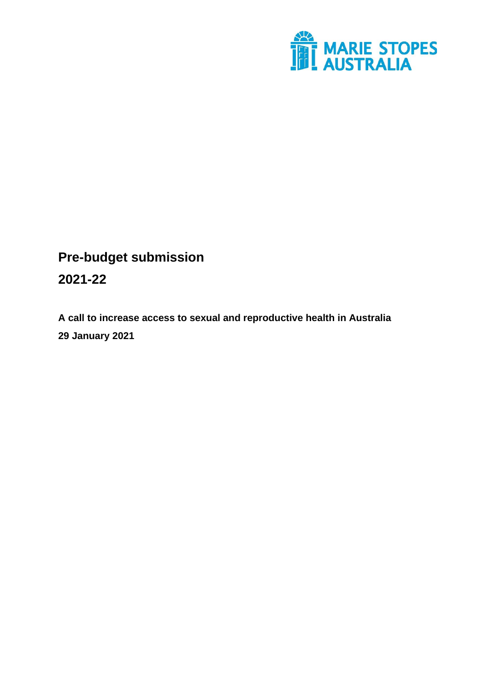

# **Pre-budget submission**

### **2021-22**

**A call to increase access to sexual and reproductive health in Australia 29 January 2021**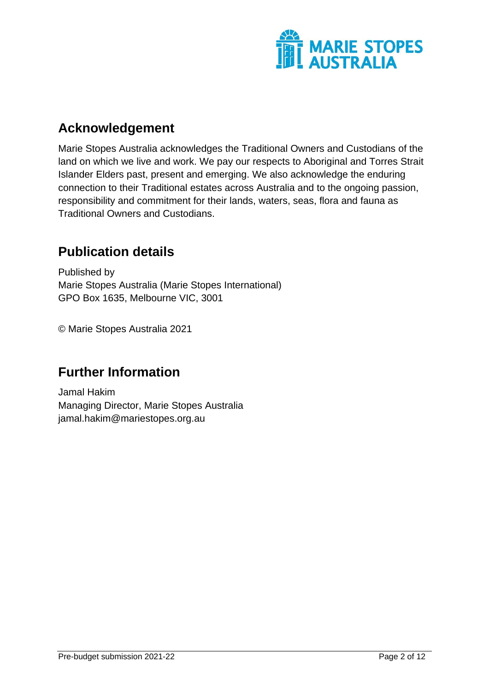

## <span id="page-1-0"></span>**Acknowledgement**

Marie Stopes Australia acknowledges the Traditional Owners and Custodians of the land on which we live and work. We pay our respects to Aboriginal and Torres Strait Islander Elders past, present and emerging. We also acknowledge the enduring connection to their Traditional estates across Australia and to the ongoing passion, responsibility and commitment for their lands, waters, seas, flora and fauna as Traditional Owners and Custodians.

## <span id="page-1-1"></span>**Publication details**

Published by Marie Stopes Australia (Marie Stopes International) GPO Box 1635, Melbourne VIC, 3001

© Marie Stopes Australia 2021

# <span id="page-1-2"></span>**Further Information**

Jamal Hakim Managing Director, Marie Stopes Australia jamal.hakim@mariestopes.org.au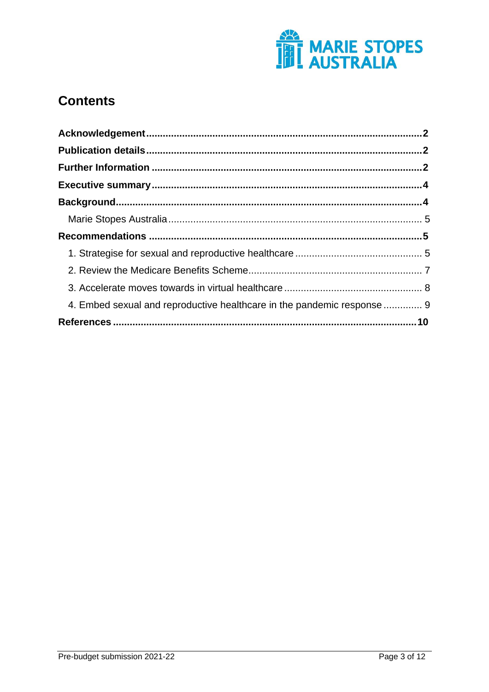

## **Contents**

| 4. Embed sexual and reproductive healthcare in the pandemic response  9 |  |
|-------------------------------------------------------------------------|--|
|                                                                         |  |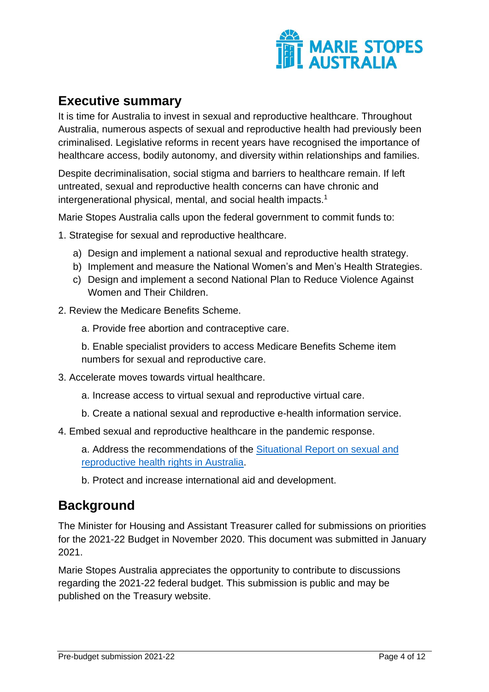

### <span id="page-3-0"></span>**Executive summary**

It is time for Australia to invest in sexual and reproductive healthcare. Throughout Australia, numerous aspects of sexual and reproductive health had previously been criminalised. Legislative reforms in recent years have recognised the importance of healthcare access, bodily autonomy, and diversity within relationships and families.

Despite decriminalisation, social stigma and barriers to healthcare remain. If left untreated, sexual and reproductive health concerns can have chronic and intergenerational physical, mental, and social health impacts.<sup>1</sup>

Marie Stopes Australia calls upon the federal government to commit funds to:

- 1. Strategise for sexual and reproductive healthcare.
	- a) Design and implement a national sexual and reproductive health strategy.
	- b) Implement and measure the National Women's and Men's Health Strategies.
	- c) Design and implement a second National Plan to Reduce Violence Against Women and Their Children.
- 2. Review the Medicare Benefits Scheme.
	- a. Provide free abortion and contraceptive care.

b. Enable specialist providers to access Medicare Benefits Scheme item numbers for sexual and reproductive care.

- 3. Accelerate moves towards virtual healthcare.
	- a. Increase access to virtual sexual and reproductive virtual care.
	- b. Create a national sexual and reproductive e-health information service.
- 4. Embed sexual and reproductive healthcare in the pandemic response.

a. Address the recommendations of the [Situational Report on sexual and](https://resources.mariestopes.org.au/SRHRinAustralia.pdf)  [reproductive health rights in Australia.](https://resources.mariestopes.org.au/SRHRinAustralia.pdf)

b. Protect and increase international aid and development.

### <span id="page-3-1"></span>**Background**

The Minister for Housing and Assistant Treasurer called for submissions on priorities for the 2021-22 Budget in November 2020. This document was submitted in January 2021.

Marie Stopes Australia appreciates the opportunity to contribute to discussions regarding the 2021-22 federal budget. This submission is public and may be published on the Treasury website.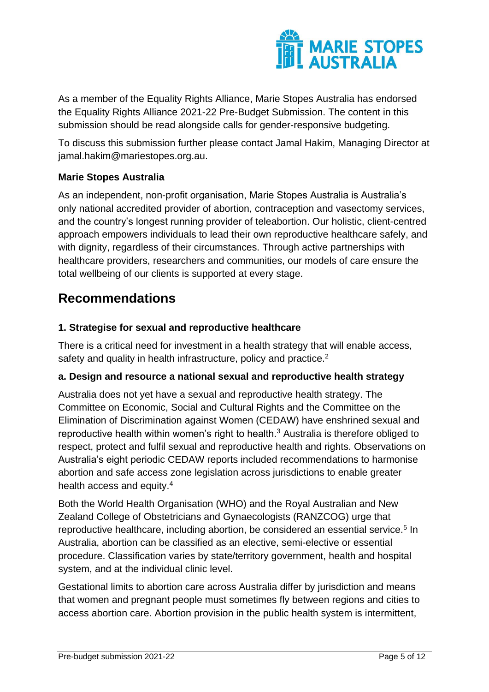

As a member of the Equality Rights Alliance, Marie Stopes Australia has endorsed the Equality Rights Alliance 2021-22 Pre-Budget Submission. The content in this submission should be read alongside calls for gender-responsive budgeting.

To discuss this submission further please contact Jamal Hakim, Managing Director at jamal.hakim@mariestopes.org.au.

#### <span id="page-4-0"></span>**Marie Stopes Australia**

As an independent, non-profit organisation, Marie Stopes Australia is Australia's only national accredited provider of abortion, contraception and vasectomy services, and the country's longest running provider of teleabortion. Our holistic, client-centred approach empowers individuals to lead their own reproductive healthcare safely, and with dignity, regardless of their circumstances. Through active partnerships with healthcare providers, researchers and communities, our models of care ensure the total wellbeing of our clients is supported at every stage.

## <span id="page-4-1"></span>**Recommendations**

#### <span id="page-4-2"></span>**1. Strategise for sexual and reproductive healthcare**

There is a critical need for investment in a health strategy that will enable access, safety and quality in health infrastructure, policy and practice.<sup>2</sup>

#### **a. Design and resource a national sexual and reproductive health strategy**

Australia does not yet have a sexual and reproductive health strategy. The Committee on Economic, Social and Cultural Rights and the Committee on the Elimination of Discrimination against Women (CEDAW) have enshrined sexual and reproductive health within women's right to health.<sup>3</sup> Australia is therefore obliged to respect, protect and fulfil sexual and reproductive health and rights. Observations on Australia's eight periodic CEDAW reports included recommendations to harmonise abortion and safe access zone legislation across jurisdictions to enable greater health access and equity.<sup>4</sup>

Both the World Health Organisation (WHO) and the Royal Australian and New Zealand College of Obstetricians and Gynaecologists (RANZCOG) urge that reproductive healthcare, including abortion, be considered an essential service.<sup>5</sup> In Australia, abortion can be classified as an elective, semi-elective or essential procedure. Classification varies by state/territory government, health and hospital system, and at the individual clinic level.

Gestational limits to abortion care across Australia differ by jurisdiction and means that women and pregnant people must sometimes fly between regions and cities to access abortion care. Abortion provision in the public health system is intermittent,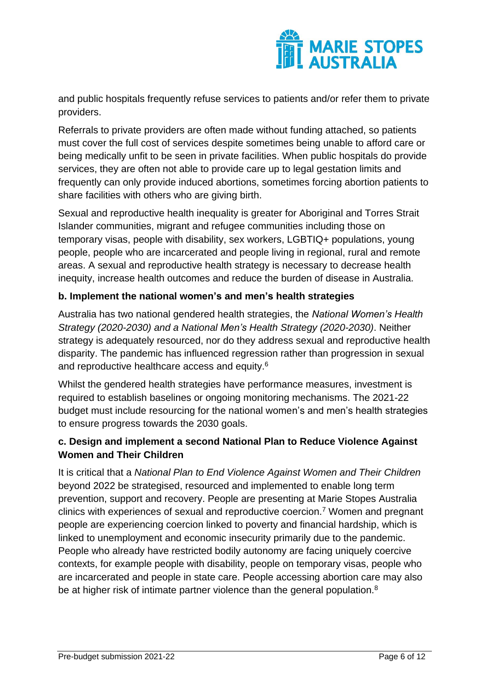

and public hospitals frequently refuse services to patients and/or refer them to private providers.

Referrals to private providers are often made without funding attached, so patients must cover the full cost of services despite sometimes being unable to afford care or being medically unfit to be seen in private facilities. When public hospitals do provide services, they are often not able to provide care up to legal gestation limits and frequently can only provide induced abortions, sometimes forcing abortion patients to share facilities with others who are giving birth.

Sexual and reproductive health inequality is greater for Aboriginal and Torres Strait Islander communities, migrant and refugee communities including those on temporary visas, people with disability, sex workers, LGBTIQ+ populations, young people, people who are incarcerated and people living in regional, rural and remote areas. A sexual and reproductive health strategy is necessary to decrease health inequity, increase health outcomes and reduce the burden of disease in Australia.

#### **b. Implement the national women's and men's health strategies**

Australia has two national gendered health strategies, the *National Women's Health Strategy (2020-2030) and a National Men's Health Strategy (2020-2030)*. Neither strategy is adequately resourced, nor do they address sexual and reproductive health disparity. The pandemic has influenced regression rather than progression in sexual and reproductive healthcare access and equity.<sup>6</sup>

Whilst the gendered health strategies have performance measures, investment is required to establish baselines or ongoing monitoring mechanisms. The 2021-22 budget must include resourcing for the national women's and men's health strategies to ensure progress towards the 2030 goals.

#### **c. Design and implement a second National Plan to Reduce Violence Against Women and Their Children**

It is critical that a *National Plan to End Violence Against Women and Their Children* beyond 2022 be strategised, resourced and implemented to enable long term prevention, support and recovery. People are presenting at Marie Stopes Australia clinics with experiences of sexual and reproductive coercion.<sup>7</sup> Women and pregnant people are experiencing coercion linked to poverty and financial hardship, which is linked to unemployment and economic insecurity primarily due to the pandemic. People who already have restricted bodily autonomy are facing uniquely coercive contexts, for example people with disability, people on temporary visas, people who are incarcerated and people in state care. People accessing abortion care may also be at higher risk of intimate partner violence than the general population.<sup>8</sup>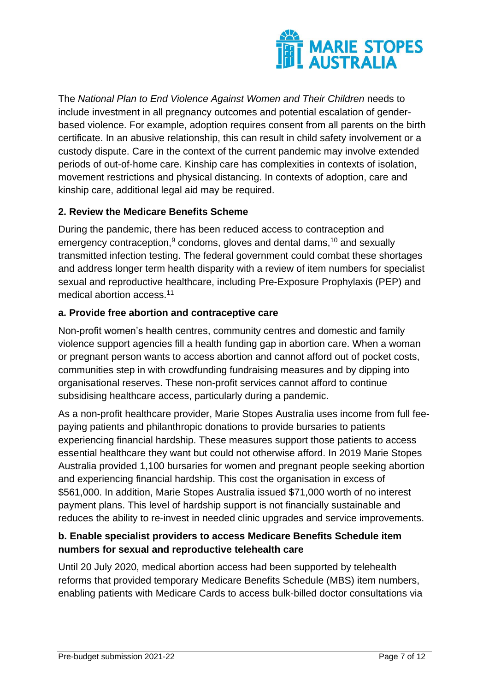

The *National Plan to End Violence Against Women and Their Children* needs to include investment in all pregnancy outcomes and potential escalation of genderbased violence. For example, adoption requires consent from all parents on the birth certificate. In an abusive relationship, this can result in child safety involvement or a custody dispute. Care in the context of the current pandemic may involve extended periods of out-of-home care. Kinship care has complexities in contexts of isolation, movement restrictions and physical distancing. In contexts of adoption, care and kinship care, additional legal aid may be required.

#### <span id="page-6-0"></span>**2. Review the Medicare Benefits Scheme**

During the pandemic, there has been reduced access to contraception and emergency contraception, $9$  condoms, gloves and dental dams,  $10$  and sexually transmitted infection testing. The federal government could combat these shortages and address longer term health disparity with a review of item numbers for specialist sexual and reproductive healthcare, including Pre-Exposure Prophylaxis (PEP) and medical abortion access.<sup>11</sup>

#### **a. Provide free abortion and contraceptive care**

Non-profit women's health centres, community centres and domestic and family violence support agencies fill a health funding gap in abortion care. When a woman or pregnant person wants to access abortion and cannot afford out of pocket costs, communities step in with crowdfunding fundraising measures and by dipping into organisational reserves. These non-profit services cannot afford to continue subsidising healthcare access, particularly during a pandemic.

As a non-profit healthcare provider, Marie Stopes Australia uses income from full feepaying patients and philanthropic donations to provide bursaries to patients experiencing financial hardship. These measures support those patients to access essential healthcare they want but could not otherwise afford. In 2019 Marie Stopes Australia provided 1,100 bursaries for women and pregnant people seeking abortion and experiencing financial hardship. This cost the organisation in excess of \$561,000. In addition, Marie Stopes Australia issued \$71,000 worth of no interest payment plans. This level of hardship support is not financially sustainable and reduces the ability to re-invest in needed clinic upgrades and service improvements.

#### **b. Enable specialist providers to access Medicare Benefits Schedule item numbers for sexual and reproductive telehealth care**

Until 20 July 2020, medical abortion access had been supported by telehealth reforms that provided temporary Medicare Benefits Schedule (MBS) item numbers, enabling patients with Medicare Cards to access bulk-billed doctor consultations via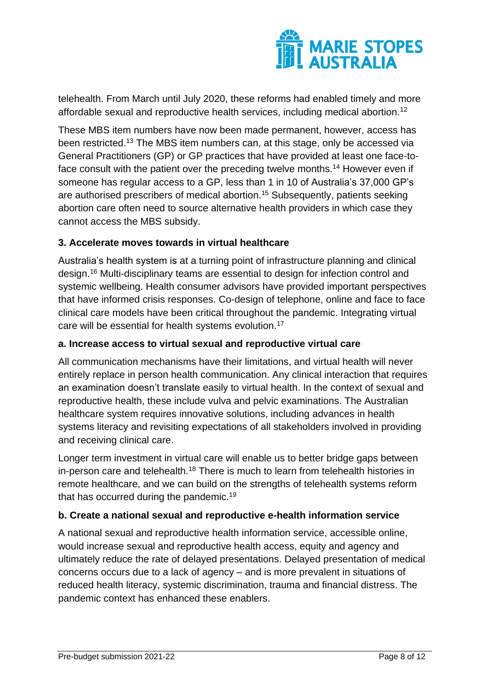

telehealth. From March until July 2020, these reforms had enabled timely and more affordable sexual and reproductive health services, including medical abortion.<sup>12</sup>

These MBS item numbers have now been made permanent, however, access has been restricted.<sup>13</sup> The MBS item numbers can, at this stage, only be accessed via General Practitioners (GP) or GP practices that have provided at least one face-toface consult with the patient over the preceding twelve months.<sup>14</sup> However even if someone has regular access to a GP, less than 1 in 10 of Australia's 37,000 GP's are authorised prescribers of medical abortion.<sup>15</sup> Subsequently, patients seeking abortion care often need to source alternative health providers in which case they cannot access the MBS subsidy.

#### <span id="page-7-0"></span>**3. Accelerate moves towards in virtual healthcare**

Australia's health system is at a turning point of infrastructure planning and clinical design.<sup>16</sup> Multi-disciplinary teams are essential to design for infection control and systemic wellbeing. Health consumer advisors have provided important perspectives that have informed crisis responses. Co-design of telephone, online and face to face clinical care models have been critical throughout the pandemic. Integrating virtual care will be essential for health systems evolution.<sup>17</sup>

#### **a. Increase access to virtual sexual and reproductive virtual care**

All communication mechanisms have their limitations, and virtual health will never entirely replace in person health communication. Any clinical interaction that requires an examination doesn't translate easily to virtual health. In the context of sexual and reproductive health, these include vulva and pelvic examinations. The Australian healthcare system requires innovative solutions, including advances in health systems literacy and revisiting expectations of all stakeholders involved in providing and receiving clinical care.

Longer term investment in virtual care will enable us to better bridge gaps between in-person care and telehealth.<sup>18</sup> There is much to learn from telehealth histories in remote healthcare, and we can build on the strengths of telehealth systems reform that has occurred during the pandemic.<sup>19</sup>

#### **b. Create a national sexual and reproductive e-health information service**

A national sexual and reproductive health information service, accessible online, would increase sexual and reproductive health access, equity and agency and ultimately reduce the rate of delayed presentations. Delayed presentation of medical concerns occurs due to a lack of agency – and is more prevalent in situations of reduced health literacy, systemic discrimination, trauma and financial distress. The pandemic context has enhanced these enablers.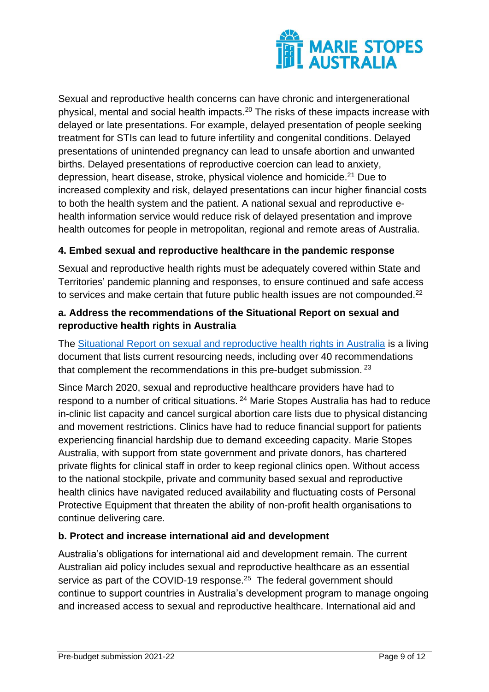

Sexual and reproductive health concerns can have chronic and intergenerational physical, mental and social health impacts.<sup>20</sup> The risks of these impacts increase with delayed or late presentations. For example, delayed presentation of people seeking treatment for STIs can lead to future infertility and congenital conditions. Delayed presentations of unintended pregnancy can lead to unsafe abortion and unwanted births. Delayed presentations of reproductive coercion can lead to anxiety, depression, heart disease, stroke, physical violence and homicide.<sup>21</sup> Due to increased complexity and risk, delayed presentations can incur higher financial costs to both the health system and the patient. A national sexual and reproductive ehealth information service would reduce risk of delayed presentation and improve health outcomes for people in metropolitan, regional and remote areas of Australia.

#### <span id="page-8-0"></span>**4. Embed sexual and reproductive healthcare in the pandemic response**

Sexual and reproductive health rights must be adequately covered within State and Territories' pandemic planning and responses, to ensure continued and safe access to services and make certain that future public health issues are not compounded.<sup>22</sup>

#### **a. Address the recommendations of the Situational Report on sexual and reproductive health rights in Australia**

The [Situational Report on sexual and reproductive health rights in Australia](https://resources.mariestopes.org.au/SRHRinAustralia.pdf) is a living document that lists current resourcing needs, including over 40 recommendations that complement the recommendations in this pre-budget submission. <sup>23</sup>

Since March 2020, sexual and reproductive healthcare providers have had to respond to a number of critical situations. <sup>24</sup> Marie Stopes Australia has had to reduce in-clinic list capacity and cancel surgical abortion care lists due to physical distancing and movement restrictions. Clinics have had to reduce financial support for patients experiencing financial hardship due to demand exceeding capacity. Marie Stopes Australia, with support from state government and private donors, has chartered private flights for clinical staff in order to keep regional clinics open. Without access to the national stockpile, private and community based sexual and reproductive health clinics have navigated reduced availability and fluctuating costs of Personal Protective Equipment that threaten the ability of non-profit health organisations to continue delivering care.

#### **b. Protect and increase international aid and development**

Australia's obligations for international aid and development remain. The current Australian aid policy includes sexual and reproductive healthcare as an essential service as part of the COVID-19 response.<sup>25</sup> The federal government should continue to support countries in Australia's development program to manage ongoing and increased access to sexual and reproductive healthcare. International aid and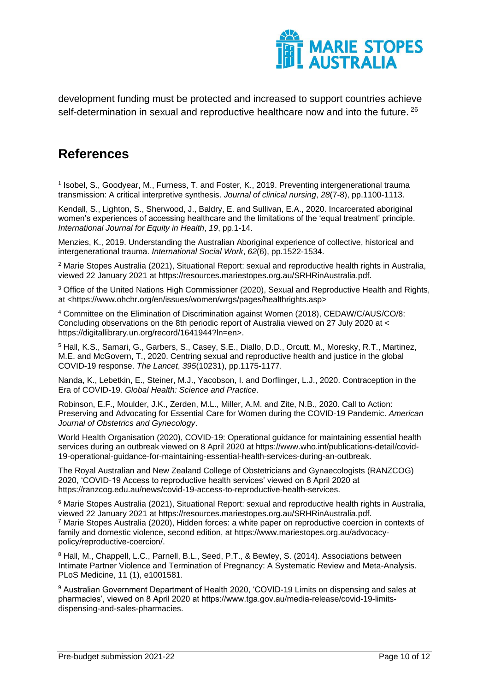

development funding must be protected and increased to support countries achieve self-determination in sexual and reproductive healthcare now and into the future. <sup>26</sup>

## <span id="page-9-0"></span>**References**

1 Isobel, S., Goodyear, M., Furness, T. and Foster, K., 2019. Preventing intergenerational trauma transmission: A critical interpretive synthesis. *Journal of clinical nursing*, *28*(7-8), pp.1100-1113. 1

Kendall, S., Lighton, S., Sherwood, J., Baldry, E. and Sullivan, E.A., 2020. Incarcerated aboriginal women's experiences of accessing healthcare and the limitations of the 'equal treatment' principle. *International Journal for Equity in Health*, *19*, pp.1-14.

Menzies, K., 2019. Understanding the Australian Aboriginal experience of collective, historical and intergenerational trauma. *International Social Work*, *62*(6), pp.1522-1534.

<sup>2</sup> Marie Stopes Australia (2021), Situational Report: sexual and reproductive health rights in Australia, viewed 22 January 2021 at https://resources.mariestopes.org.au/SRHRinAustralia.pdf.

<sup>3</sup> Office of the United Nations High Commissioner (2020), Sexual and Reproductive Health and Rights, at <https://www.ohchr.org/en/issues/women/wrgs/pages/healthrights.asp>

<sup>4</sup> Committee on the Elimination of Discrimination against Women (2018), CEDAW/C/AUS/CO/8: Concluding observations on the 8th periodic report of Australia viewed on 27 July 2020 at < https://digitallibrary.un.org/record/1641944?ln=en>.

<sup>5</sup> Hall, K.S., Samari, G., Garbers, S., Casey, S.E., Diallo, D.D., Orcutt, M., Moresky, R.T., Martinez, M.E. and McGovern, T., 2020. Centring sexual and reproductive health and justice in the global COVID-19 response. *The Lancet*, *395*(10231), pp.1175-1177.

Nanda, K., Lebetkin, E., Steiner, M.J., Yacobson, I. and Dorflinger, L.J., 2020. Contraception in the Era of COVID-19. *Global Health: Science and Practice*.

Robinson, E.F., Moulder, J.K., Zerden, M.L., Miller, A.M. and Zite, N.B., 2020. Call to Action: Preserving and Advocating for Essential Care for Women during the COVID-19 Pandemic. *American Journal of Obstetrics and Gynecology*.

World Health Organisation (2020), COVID-19: Operational guidance for maintaining essential health services during an outbreak viewed on 8 April 2020 at https://www.who.int/publications-detail/covid-19-operational-guidance-for-maintaining-essential-health-services-during-an-outbreak.

The Royal Australian and New Zealand College of Obstetricians and Gynaecologists (RANZCOG) 2020, 'COVID-19 Access to reproductive health services' viewed on 8 April 2020 at https://ranzcog.edu.au/news/covid-19-access-to-reproductive-health-services.

<sup>6</sup> Marie Stopes Australia (2021), Situational Report: sexual and reproductive health rights in Australia, viewed 22 January 2021 at https://resources.mariestopes.org.au/SRHRinAustralia.pdf. <sup>7</sup> Marie Stopes Australia (2020), Hidden forces: a white paper on reproductive coercion in contexts of family and domestic violence, second edition, at https://www.mariestopes.org.au/advocacypolicy/reproductive-coercion/.

<sup>8</sup> Hall, M., Chappell, L.C., Parnell, B.L., Seed, P.T., & Bewley, S. (2014). Associations between Intimate Partner Violence and Termination of Pregnancy: A Systematic Review and Meta-Analysis. PLoS Medicine, 11 (1), e1001581.

<sup>9</sup> Australian Government Department of Health 2020, 'COVID-19 Limits on dispensing and sales at pharmacies', viewed on 8 April 2020 at https://www.tga.gov.au/media-release/covid-19-limitsdispensing-and-sales-pharmacies.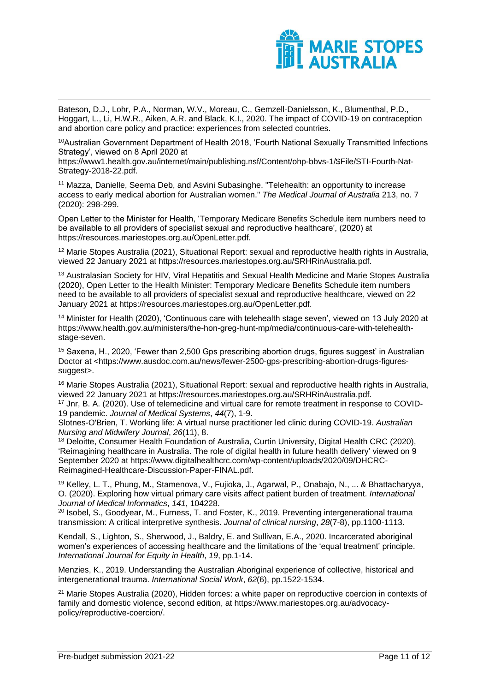

Bateson, D.J., Lohr, P.A., Norman, W.V., Moreau, C., Gemzell-Danielsson, K., Blumenthal, P.D., Hoggart, L., Li, H.W.R., Aiken, A.R. and Black, K.I., 2020. The impact of COVID-19 on contraception and abortion care policy and practice: experiences from selected countries.

<sup>10</sup>Australian Government Department of Health 2018, 'Fourth National Sexually Transmitted Infections Strategy', viewed on 8 April 2020 at

https://www1.health.gov.au/internet/main/publishing.nsf/Content/ohp-bbvs-1/\$File/STI-Fourth-Nat-Strategy-2018-22.pdf.

<sup>11</sup> Mazza, Danielle, Seema Deb, and Asvini Subasinghe. "Telehealth: an opportunity to increase access to early medical abortion for Australian women." *The Medical Journal of Australia* 213, no. 7 (2020): 298-299.

Open Letter to the Minister for Health, 'Temporary Medicare Benefits Schedule item numbers need to be available to all providers of specialist sexual and reproductive healthcare', (2020) at https://resources.mariestopes.org.au/OpenLetter.pdf.

<sup>12</sup> Marie Stopes Australia (2021), Situational Report: sexual and reproductive health rights in Australia, viewed 22 January 2021 at https://resources.mariestopes.org.au/SRHRinAustralia.pdf.

<sup>13</sup> Australasian Society for HIV, Viral Hepatitis and Sexual Health Medicine and Marie Stopes Australia (2020), Open Letter to the Health Minister: Temporary Medicare Benefits Schedule item numbers need to be available to all providers of specialist sexual and reproductive healthcare, viewed on 22 January 2021 at https://resources.mariestopes.org.au/OpenLetter.pdf.

<sup>14</sup> Minister for Health (2020), 'Continuous care with telehealth stage seven', viewed on 13 July 2020 at https://www.health.gov.au/ministers/the-hon-greg-hunt-mp/media/continuous-care-with-telehealthstage-seven.

<sup>15</sup> Saxena, H., 2020, 'Fewer than 2,500 Gps prescribing abortion drugs, figures suggest' in Australian Doctor at <https://www.ausdoc.com.au/news/fewer-2500-gps-prescribing-abortion-drugs-figuressuggest>.

<sup>16</sup> Marie Stopes Australia (2021), Situational Report: sexual and reproductive health rights in Australia, viewed 22 January 2021 at https://resources.mariestopes.org.au/SRHRinAustralia.pdf.

<sup>17</sup> Jnr, B. A. (2020). Use of telemedicine and virtual care for remote treatment in response to COVID-19 pandemic. *Journal of Medical Systems*, *44*(7), 1-9.

Slotnes-O'Brien, T. Working life: A virtual nurse practitioner led clinic during COVID-19. *Australian Nursing and Midwifery Journal*, *26*(11), 8.

<sup>18</sup> Deloitte, Consumer Health Foundation of Australia, Curtin University, Digital Health CRC (2020), 'Reimagining healthcare in Australia. The role of digital health in future health delivery' viewed on 9 September 2020 at https://www.digitalhealthcrc.com/wp-content/uploads/2020/09/DHCRC-Reimagined-Healthcare-Discussion-Paper-FINAL.pdf.

<sup>19</sup> Kelley, L. T., Phung, M., Stamenova, V., Fujioka, J., Agarwal, P., Onabajo, N., ... & Bhattacharyya, O. (2020). Exploring how virtual primary care visits affect patient burden of treatment. *International Journal of Medical Informatics*, *141*, 104228.

<sup>20</sup> Isobel, S., Goodyear, M., Furness, T. and Foster, K., 2019. Preventing intergenerational trauma transmission: A critical interpretive synthesis. *Journal of clinical nursing*, *28*(7-8), pp.1100-1113.

Kendall, S., Lighton, S., Sherwood, J., Baldry, E. and Sullivan, E.A., 2020. Incarcerated aboriginal women's experiences of accessing healthcare and the limitations of the 'equal treatment' principle. *International Journal for Equity in Health*, *19*, pp.1-14.

Menzies, K., 2019. Understanding the Australian Aboriginal experience of collective, historical and intergenerational trauma. *International Social Work*, *62*(6), pp.1522-1534.

<sup>21</sup> Marie Stopes Australia (2020), Hidden forces: a white paper on reproductive coercion in contexts of family and domestic violence, second edition, at https://www.mariestopes.org.au/advocacypolicy/reproductive-coercion/.

1